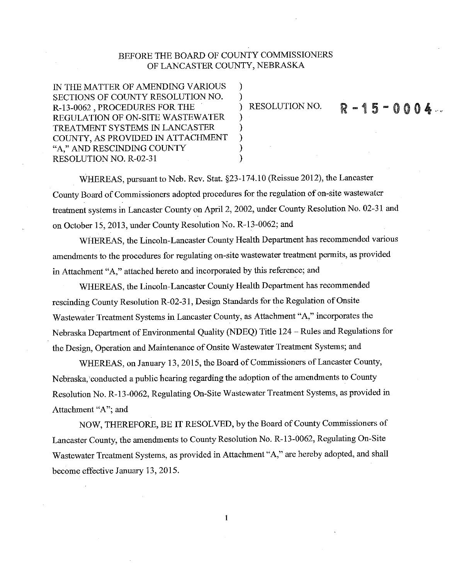### BEFORE THE BOARD OF COUNTY COMMISSIONERS OF LANCASTER COUNTY, NEBRASKA

 $\lambda$ 

 $\lambda$ 

IN THE MATTER OF AMENDING VARIOUS SECTIONS OF COUNTY RESOLUTION NO. R-13-0062, PROCEDURES FOR THE REGULATION OF ON-SITE WASTEWATER TREATMENT SYSTEMS IN LANCASTER COUNTY, AS PROVIDED IN ATTACHMENT "A," AND RESCINDING COUNTY RESOLUTION NO. R-02-31

**RESOLUTION NO.** 

# $R - 15 - 0004$

WHEREAS, pursuant to Neb. Rev. Stat. §23-174.10 (Reissue 2012), the Lancaster County Board of Commissioners adopted procedures for the regulation of on-site wastewater treatment systems in Lancaster County on April 2, 2002, under County Resolution No. 02-31 and on October 15, 2013, under County Resolution No. R-13-0062; and

WHEREAS, the Lincoln-Lancaster County Health Department has recommended various amendments to the procedures for regulating on-site wastewater treatment permits, as provided in Attachment "A," attached hereto and incorporated by this reference; and

WHEREAS, the Lincoln-Lancaster County Health Department has recommended rescinding County Resolution R-02-31, Design Standards for the Regulation of Onsite Wastewater Treatment Systems in Lancaster County, as Attachment "A," incorporates the Nebraska Department of Environmental Quality (NDEQ) Title 124 - Rules and Regulations for the Design, Operation and Maintenance of Onsite Wastewater Treatment Systems; and

WHEREAS, on January 13, 2015, the Board of Commissioners of Lancaster County, Nebraska, conducted a public hearing regarding the adoption of the amendments to County Resolution No. R-13-0062, Regulating On-Site Wastewater Treatment Systems, as provided in Attachment "A"; and

NOW, THEREFORE, BE IT RESOLVED, by the Board of County Commissioners of Lancaster County, the amendments to County Resolution No. R-13-0062, Regulating On-Site Wastewater Treatment Systems, as provided in Attachment "A," are hereby adopted, and shall become effective January 13, 2015.

 $\mathbf{1}$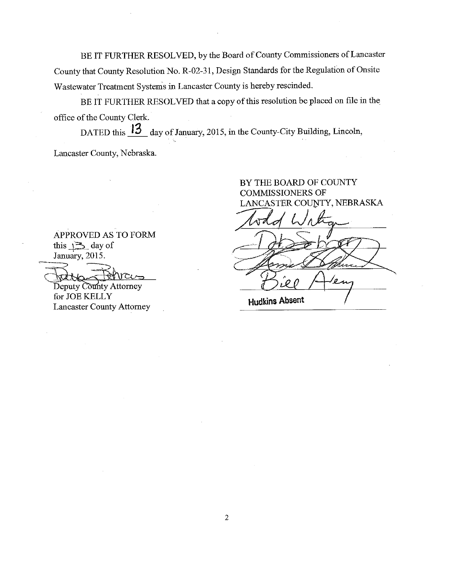BE IT FURTHER RESOLVED, by the Board of County Commissioners of Lancaster County that County Resolution No. R-02-31, Design Standards for the Regulation of Onsite Wastewater Treatment Systems in Lancaster County is hereby rescinded.

BE IT FURTHER RESOLVED that a copy of this resolution be placed on file in the office of the County Clerk.

DATED this  $13$  day of January, 2015, in the County-City Building, Lincoln, Lancaster County, Nebraska.

> BY THE BOARD OF COUNTY **COMMISSIONERS OF** LANCASTER COUNTY, NEBRASKA

APPROVED AS TO FORM this  $\sqrt{2}$  day of January, 2015.

Deputy County Attorney for JOE KELLY **Lancaster County Attorney** 

**Hudkins Absent**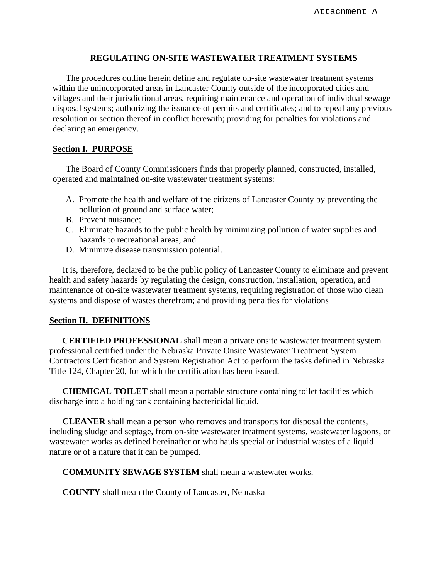#### **REGULATING ON-SITE WASTEWATER TREATMENT SYSTEMS**

The procedures outline herein define and regulate on-site wastewater treatment systems within the unincorporated areas in Lancaster County outside of the incorporated cities and villages and their jurisdictional areas, requiring maintenance and operation of individual sewage disposal systems; authorizing the issuance of permits and certificates; and to repeal any previous resolution or section thereof in conflict herewith; providing for penalties for violations and declaring an emergency.

#### **Section I. PURPOSE**

 The Board of County Commissioners finds that properly planned, constructed, installed, operated and maintained on-site wastewater treatment systems:

- A. Promote the health and welfare of the citizens of Lancaster County by preventing the pollution of ground and surface water;
- B. Prevent nuisance;
- C. Eliminate hazards to the public health by minimizing pollution of water supplies and hazards to recreational areas; and
- D. Minimize disease transmission potential.

 It is, therefore, declared to be the public policy of Lancaster County to eliminate and prevent health and safety hazards by regulating the design, construction, installation, operation, and maintenance of on-site wastewater treatment systems, requiring registration of those who clean systems and dispose of wastes therefrom; and providing penalties for violations

#### **Section II. DEFINITIONS**

 **CERTIFIED PROFESSIONAL** shall mean a private onsite wastewater treatment system professional certified under the Nebraska Private Onsite Wastewater Treatment System Contractors Certification and System Registration Act to perform the tasks defined in Nebraska Title 124, Chapter 20, for which the certification has been issued.

**CHEMICAL TOILET** shall mean a portable structure containing toilet facilities which discharge into a holding tank containing bactericidal liquid.

**CLEANER** shall mean a person who removes and transports for disposal the contents, including sludge and septage, from on-site wastewater treatment systems, wastewater lagoons, or wastewater works as defined hereinafter or who hauls special or industrial wastes of a liquid nature or of a nature that it can be pumped.

**COMMUNITY SEWAGE SYSTEM** shall mean a wastewater works.

**COUNTY** shall mean the County of Lancaster, Nebraska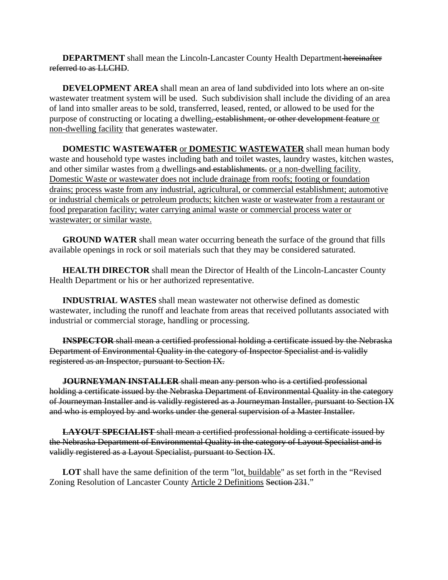**DEPARTMENT** shall mean the Lincoln-Lancaster County Health Department-hereinafter referred to as LLCHD.

**DEVELOPMENT AREA** shall mean an area of land subdivided into lots where an on-site wastewater treatment system will be used. Such subdivision shall include the dividing of an area of land into smaller areas to be sold, transferred, leased, rented, or allowed to be used for the purpose of constructing or locating a dwelling, establishment, or other development feature or non-dwelling facility that generates wastewater.

**DOMESTIC WASTEWATER** or **DOMESTIC WASTEWATER** shall mean human body waste and household type wastes including bath and toilet wastes, laundry wastes, kitchen wastes, and other similar wastes from a dwellings and establishments. or a non-dwelling facility. Domestic Waste or wastewater does not include drainage from roofs; footing or foundation drains; process waste from any industrial, agricultural, or commercial establishment; automotive or industrial chemicals or petroleum products; kitchen waste or wastewater from a restaurant or food preparation facility; water carrying animal waste or commercial process water or wastewater; or similar waste.

**GROUND WATER** shall mean water occurring beneath the surface of the ground that fills available openings in rock or soil materials such that they may be considered saturated.

**HEALTH DIRECTOR** shall mean the Director of Health of the Lincoln-Lancaster County Health Department or his or her authorized representative.

**INDUSTRIAL WASTES** shall mean wastewater not otherwise defined as domestic wastewater, including the runoff and leachate from areas that received pollutants associated with industrial or commercial storage, handling or processing.

**INSPECTOR** shall mean a certified professional holding a certificate issued by the Nebraska Department of Environmental Quality in the category of Inspector Specialist and is validly registered as an Inspector, pursuant to Section IX.

 **JOURNEYMAN INSTALLER** shall mean any person who is a certified professional holding a certificate issued by the Nebraska Department of Environmental Quality in the category of Journeyman Installer and is validly registered as a Journeyman Installer, pursuant to Section IX and who is employed by and works under the general supervision of a Master Installer.

**LAYOUT SPECIALIST** shall mean a certified professional holding a certificate issued by the Nebraska Department of Environmental Quality in the category of Layout Specialist and is validly registered as a Layout Specialist, pursuant to Section IX.

LOT shall have the same definition of the term "lot, buildable" as set forth in the "Revised" Zoning Resolution of Lancaster County Article 2 Definitions Section 231."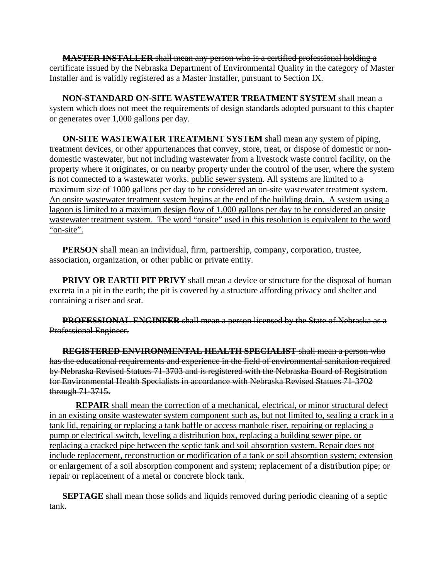**MASTER INSTALLER** shall mean any person who is a certified professional holding a certificate issued by the Nebraska Department of Environmental Quality in the category of Master Installer and is validly registered as a Master Installer, pursuant to Section IX.

**NON-STANDARD ON-SITE WASTEWATER TREATMENT SYSTEM** shall mean a system which does not meet the requirements of design standards adopted pursuant to this chapter or generates over 1,000 gallons per day.

**ON-SITE WASTEWATER TREATMENT SYSTEM** shall mean any system of piping, treatment devices, or other appurtenances that convey, store, treat, or dispose of domestic or nondomestic wastewater, but not including wastewater from a livestock waste control facility, on the property where it originates, or on nearby property under the control of the user, where the system is not connected to a wastewater works. public sewer system. All systems are limited to a maximum size of 1000 gallons per day to be considered an on-site wastewater treatment system. An onsite wastewater treatment system begins at the end of the building drain. A system using a lagoon is limited to a maximum design flow of 1,000 gallons per day to be considered an onsite wastewater treatment system. The word "onsite" used in this resolution is equivalent to the word "on-site".

**PERSON** shall mean an individual, firm, partnership, company, corporation, trustee, association, organization, or other public or private entity.

**PRIVY OR EARTH PIT PRIVY** shall mean a device or structure for the disposal of human excreta in a pit in the earth; the pit is covered by a structure affording privacy and shelter and containing a riser and seat.

 **PROFESSIONAL ENGINEER** shall mean a person licensed by the State of Nebraska as a Professional Engineer.

**REGISTERED ENVIRONMENTAL HEALTH SPECIALIST** shall mean a person who has the educational requirements and experience in the field of environmental sanitation required by Nebraska Revised Statues 71-3703 and is registered with the Nebraska Board of Registration for Environmental Health Specialists in accordance with Nebraska Revised Statues 71-3702 through 71-3715.

**REPAIR** shall mean the correction of a mechanical, electrical, or minor structural defect in an existing onsite wastewater system component such as, but not limited to, sealing a crack in a tank lid, repairing or replacing a tank baffle or access manhole riser, repairing or replacing a pump or electrical switch, leveling a distribution box, replacing a building sewer pipe, or replacing a cracked pipe between the septic tank and soil absorption system. Repair does not include replacement, reconstruction or modification of a tank or soil absorption system; extension or enlargement of a soil absorption component and system; replacement of a distribution pipe; or repair or replacement of a metal or concrete block tank.

**SEPTAGE** shall mean those solids and liquids removed during periodic cleaning of a septic tank.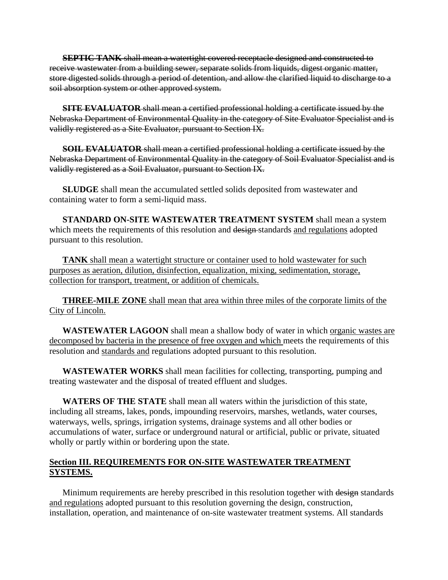**SEPTIC TANK** shall mean a watertight covered receptacle designed and constructed to receive wastewater from a building sewer, separate solids from liquids, digest organic matter, store digested solids through a period of detention, and allow the clarified liquid to discharge to a soil absorption system or other approved system.

 **SITE EVALUATOR** shall mean a certified professional holding a certificate issued by the Nebraska Department of Environmental Quality in the category of Site Evaluator Specialist and is validly registered as a Site Evaluator, pursuant to Section IX.

 **SOIL EVALUATOR** shall mean a certified professional holding a certificate issued by the Nebraska Department of Environmental Quality in the category of Soil Evaluator Specialist and is validly registered as a Soil Evaluator, pursuant to Section IX.

**SLUDGE** shall mean the accumulated settled solids deposited from wastewater and containing water to form a semi-liquid mass.

**STANDARD ON-SITE WASTEWATER TREATMENT SYSTEM** shall mean a system which meets the requirements of this resolution and design-standards and regulations adopted pursuant to this resolution.

**TANK** shall mean a watertight structure or container used to hold wastewater for such purposes as aeration, dilution, disinfection, equalization, mixing, sedimentation, storage, collection for transport, treatment, or addition of chemicals.

**THREE-MILE ZONE** shall mean that area within three miles of the corporate limits of the City of Lincoln.

**WASTEWATER LAGOON** shall mean a shallow body of water in which organic wastes are decomposed by bacteria in the presence of free oxygen and which meets the requirements of this resolution and standards and regulations adopted pursuant to this resolution.

**WASTEWATER WORKS** shall mean facilities for collecting, transporting, pumping and treating wastewater and the disposal of treated effluent and sludges.

**WATERS OF THE STATE** shall mean all waters within the jurisdiction of this state, including all streams, lakes, ponds, impounding reservoirs, marshes, wetlands, water courses, waterways, wells, springs, irrigation systems, drainage systems and all other bodies or accumulations of water, surface or underground natural or artificial, public or private, situated wholly or partly within or bordering upon the state.

### **Section III. REQUIREMENTS FOR ON-SITE WASTEWATER TREATMENT SYSTEMS.**

Minimum requirements are hereby prescribed in this resolution together with design standards and regulations adopted pursuant to this resolution governing the design, construction, installation, operation, and maintenance of on-site wastewater treatment systems. All standards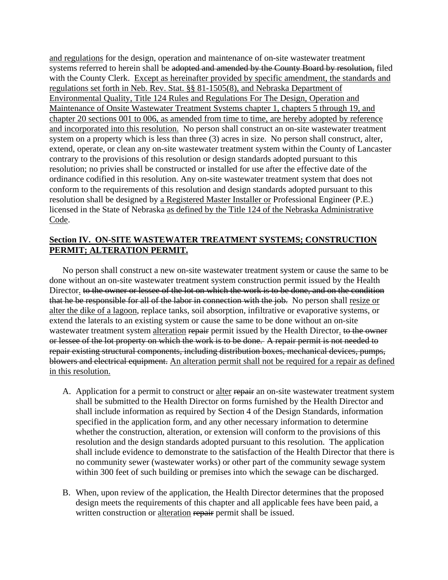and regulations for the design, operation and maintenance of on-site wastewater treatment systems referred to herein shall be adopted and amended by the County Board by resolution, filed with the County Clerk. Except as hereinafter provided by specific amendment, the standards and regulations set forth in Neb. Rev. Stat. §§ 81-1505(8), and Nebraska Department of Environmental Quality, Title 124 Rules and Regulations For The Design, Operation and Maintenance of Onsite Wastewater Treatment Systems chapter 1, chapters 5 through 19, and chapter 20 sections 001 to 006, as amended from time to time, are hereby adopted by reference and incorporated into this resolution. No person shall construct an on-site wastewater treatment system on a property which is less than three (3) acres in size. No person shall construct, alter, extend, operate, or clean any on-site wastewater treatment system within the County of Lancaster contrary to the provisions of this resolution or design standards adopted pursuant to this resolution; no privies shall be constructed or installed for use after the effective date of the ordinance codified in this resolution. Any on-site wastewater treatment system that does not conform to the requirements of this resolution and design standards adopted pursuant to this resolution shall be designed by a Registered Master Installer or Professional Engineer (P.E.) licensed in the State of Nebraska as defined by the Title 124 of the Nebraska Administrative Code.

### **Section IV. ON-SITE WASTEWATER TREATMENT SYSTEMS; CONSTRUCTION PERMIT; ALTERATION PERMIT.**

 No person shall construct a new on-site wastewater treatment system or cause the same to be done without an on-site wastewater treatment system construction permit issued by the Health Director. to the owner or lessee of the lot on which the work is to be done, and on the condition that he be responsible for all of the labor in connection with the job. No person shall resize or alter the dike of a lagoon, replace tanks, soil absorption, infiltrative or evaporative systems, or extend the laterals to an existing system or cause the same to be done without an on-site wastewater treatment system alteration repair permit issued by the Health Director. to the owner or lessee of the lot property on which the work is to be done. A repair permit is not needed to repair existing structural components, including distribution boxes, mechanical devices, pumps, blowers and electrical equipment. An alteration permit shall not be required for a repair as defined in this resolution.

- A. Application for a permit to construct or alter repair an on-site wastewater treatment system shall be submitted to the Health Director on forms furnished by the Health Director and shall include information as required by Section 4 of the Design Standards, information specified in the application form, and any other necessary information to determine whether the construction, alteration, or extension will conform to the provisions of this resolution and the design standards adopted pursuant to this resolution. The application shall include evidence to demonstrate to the satisfaction of the Health Director that there is no community sewer (wastewater works) or other part of the community sewage system within 300 feet of such building or premises into which the sewage can be discharged.
- B. When, upon review of the application, the Health Director determines that the proposed design meets the requirements of this chapter and all applicable fees have been paid, a written construction or alteration repair permit shall be issued.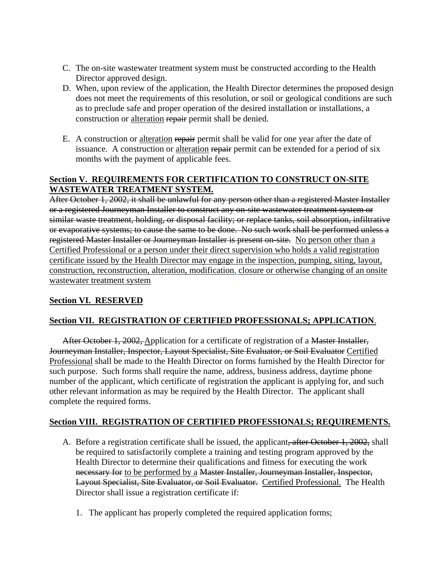- C. The on-site wastewater treatment system must be constructed according to the Health Director approved design.
- D. When, upon review of the application, the Health Director determines the proposed design does not meet the requirements of this resolution, or soil or geological conditions are such as to preclude safe and proper operation of the desired installation or installations, a construction or alteration repair permit shall be denied.
- E. A construction or alteration repair permit shall be valid for one year after the date of issuance. A construction or alteration repair permit can be extended for a period of six months with the payment of applicable fees.

### **Section V. REQUIREMENTS FOR CERTIFICATION TO CONSTRUCT ON-SITE WASTEWATER TREATMENT SYSTEM.**

After October 1, 2002, it shall be unlawful for any person other than a registered Master Installer or a registered Journeyman Installer to construct any on-site wastewater treatment system or similar waste treatment, holding, or disposal facility; or replace tanks, soil absorption, infiltrative or evaporative systems; to cause the same to be done. No such work shall be performed unless a registered Master Installer or Journeyman Installer is present on-site. No person other than a Certified Professional or a person under their direct supervision who holds a valid registration certificate issued by the Health Director may engage in the inspection, pumping, siting, layout, construction, reconstruction, alteration, modification, closure or otherwise changing of an onsite wastewater treatment system

# **Section VI. RESERVED**

# **Section VII. REGISTRATION OF CERTIFIED PROFESSIONALS; APPLICATION**.

After October 1, 2002, Application for a certificate of registration of a Master Installer, Journeyman Installer, Inspector, Layout Specialist, Site Evaluator, or Soil Evaluator Certified Professional shall be made to the Health Director on forms furnished by the Health Director for such purpose. Such forms shall require the name, address, business address, daytime phone number of the applicant, which certificate of registration the applicant is applying for, and such other relevant information as may be required by the Health Director. The applicant shall complete the required forms.

# **Section VIII. REGISTRATION OF CERTIFIED PROFESSIONALS; REQUIREMENTS.**

- A. Before a registration certificate shall be issued, the applicant, after October 1, 2002, shall be required to satisfactorily complete a training and testing program approved by the Health Director to determine their qualifications and fitness for executing the work necessary for to be performed by a Master Installer, Journeyman Installer, Inspector, Layout Specialist, Site Evaluator, or Soil Evaluator. Certified Professional. The Health Director shall issue a registration certificate if:
	- 1. The applicant has properly completed the required application forms;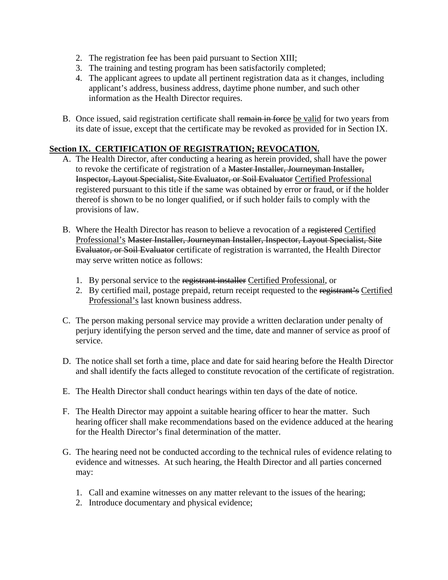- 2. The registration fee has been paid pursuant to Section XIII;
- 3. The training and testing program has been satisfactorily completed;
- 4. The applicant agrees to update all pertinent registration data as it changes, including applicant's address, business address, daytime phone number, and such other information as the Health Director requires.
- B. Once issued, said registration certificate shall remain in force be valid for two years from its date of issue, except that the certificate may be revoked as provided for in Section IX.

### **Section IX. CERTIFICATION OF REGISTRATION; REVOCATION.**

- A. The Health Director, after conducting a hearing as herein provided, shall have the power to revoke the certificate of registration of a Master Installer, Journeyman Installer, Inspector, Layout Specialist, Site Evaluator, or Soil Evaluator Certified Professional registered pursuant to this title if the same was obtained by error or fraud, or if the holder thereof is shown to be no longer qualified, or if such holder fails to comply with the provisions of law.
- B. Where the Health Director has reason to believe a revocation of a registered Certified Professional's Master Installer, Journeyman Installer, Inspector, Layout Specialist, Site Evaluator, or Soil Evaluator certificate of registration is warranted, the Health Director may serve written notice as follows:
	- 1. By personal service to the registrant installer Certified Professional, or
	- 2. By certified mail, postage prepaid, return receipt requested to the registrant's Certified Professional's last known business address.
- C. The person making personal service may provide a written declaration under penalty of perjury identifying the person served and the time, date and manner of service as proof of service.
- D. The notice shall set forth a time, place and date for said hearing before the Health Director and shall identify the facts alleged to constitute revocation of the certificate of registration.
- E. The Health Director shall conduct hearings within ten days of the date of notice.
- F. The Health Director may appoint a suitable hearing officer to hear the matter. Such hearing officer shall make recommendations based on the evidence adduced at the hearing for the Health Director's final determination of the matter.
- G. The hearing need not be conducted according to the technical rules of evidence relating to evidence and witnesses. At such hearing, the Health Director and all parties concerned may:
	- 1. Call and examine witnesses on any matter relevant to the issues of the hearing;
	- 2. Introduce documentary and physical evidence;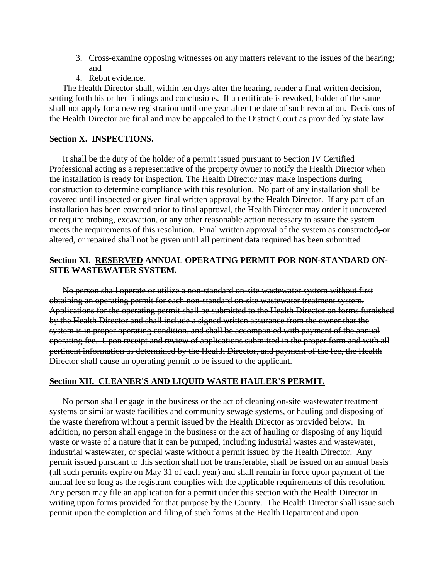- 3. Cross-examine opposing witnesses on any matters relevant to the issues of the hearing; and
- 4. Rebut evidence.

 The Health Director shall, within ten days after the hearing, render a final written decision, setting forth his or her findings and conclusions. If a certificate is revoked, holder of the same shall not apply for a new registration until one year after the date of such revocation. Decisions of the Health Director are final and may be appealed to the District Court as provided by state law.

#### **Section X. INSPECTIONS.**

 It shall be the duty of the holder of a permit issued pursuant to Section IV Certified Professional acting as a representative of the property owner to notify the Health Director when the installation is ready for inspection. The Health Director may make inspections during construction to determine compliance with this resolution. No part of any installation shall be covered until inspected or given final written approval by the Health Director. If any part of an installation has been covered prior to final approval, the Health Director may order it uncovered or require probing, excavation, or any other reasonable action necessary to assure the system meets the requirements of this resolution. Final written approval of the system as constructed, or altered, or repaired shall not be given until all pertinent data required has been submitted

#### **Section XI. RESERVED ANNUAL OPERATING PERMIT FOR NON-STANDARD ON-SITE WASTEWATER SYSTEM.**

 No person shall operate or utilize a non-standard on-site wastewater system without first obtaining an operating permit for each non-standard on-site wastewater treatment system. Applications for the operating permit shall be submitted to the Health Director on forms furnished by the Health Director and shall include a signed written assurance from the owner that the system is in proper operating condition, and shall be accompanied with payment of the annual operating fee. Upon receipt and review of applications submitted in the proper form and with all pertinent information as determined by the Health Director, and payment of the fee, the Health Director shall cause an operating permit to be issued to the applicant.

#### **Section XII. CLEANER'S AND LIQUID WASTE HAULER'S PERMIT.**

 No person shall engage in the business or the act of cleaning on-site wastewater treatment systems or similar waste facilities and community sewage systems, or hauling and disposing of the waste therefrom without a permit issued by the Health Director as provided below. In addition, no person shall engage in the business or the act of hauling or disposing of any liquid waste or waste of a nature that it can be pumped, including industrial wastes and wastewater, industrial wastewater, or special waste without a permit issued by the Health Director. Any permit issued pursuant to this section shall not be transferable, shall be issued on an annual basis (all such permits expire on May 31 of each year) and shall remain in force upon payment of the annual fee so long as the registrant complies with the applicable requirements of this resolution. Any person may file an application for a permit under this section with the Health Director in writing upon forms provided for that purpose by the County. The Health Director shall issue such permit upon the completion and filing of such forms at the Health Department and upon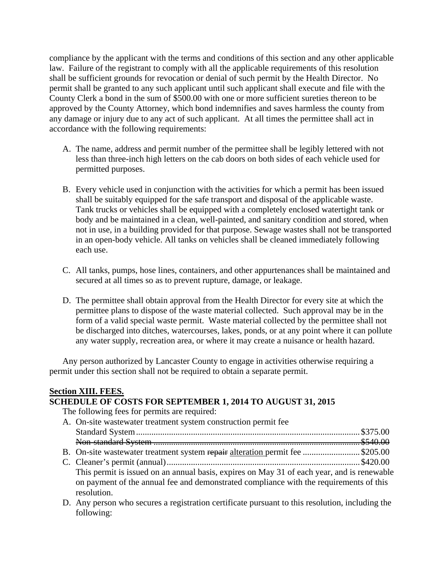compliance by the applicant with the terms and conditions of this section and any other applicable law. Failure of the registrant to comply with all the applicable requirements of this resolution shall be sufficient grounds for revocation or denial of such permit by the Health Director. No permit shall be granted to any such applicant until such applicant shall execute and file with the County Clerk a bond in the sum of \$500.00 with one or more sufficient sureties thereon to be approved by the County Attorney, which bond indemnifies and saves harmless the county from any damage or injury due to any act of such applicant. At all times the permittee shall act in accordance with the following requirements:

- A. The name, address and permit number of the permittee shall be legibly lettered with not less than three-inch high letters on the cab doors on both sides of each vehicle used for permitted purposes.
- B. Every vehicle used in conjunction with the activities for which a permit has been issued shall be suitably equipped for the safe transport and disposal of the applicable waste. Tank trucks or vehicles shall be equipped with a completely enclosed watertight tank or body and be maintained in a clean, well-painted, and sanitary condition and stored, when not in use, in a building provided for that purpose. Sewage wastes shall not be transported in an open-body vehicle. All tanks on vehicles shall be cleaned immediately following each use.
- C. All tanks, pumps, hose lines, containers, and other appurtenances shall be maintained and secured at all times so as to prevent rupture, damage, or leakage.
- D. The permittee shall obtain approval from the Health Director for every site at which the permittee plans to dispose of the waste material collected. Such approval may be in the form of a valid special waste permit. Waste material collected by the permittee shall not be discharged into ditches, watercourses, lakes, ponds, or at any point where it can pollute any water supply, recreation area, or where it may create a nuisance or health hazard.

 Any person authorized by Lancaster County to engage in activities otherwise requiring a permit under this section shall not be required to obtain a separate permit.

#### **Section XIII. FEES.**

### **SCHEDULE OF COSTS FOR SEPTEMBER 1, 2014 TO AUGUST 31, 2015**

The following fees for permits are required:

| A. On-site was tewater treatment system construction permit fee                                                                                                                      |  |  |
|--------------------------------------------------------------------------------------------------------------------------------------------------------------------------------------|--|--|
|                                                                                                                                                                                      |  |  |
|                                                                                                                                                                                      |  |  |
| B. On-site wastewater treatment system repair alteration permit fee \$205.00                                                                                                         |  |  |
|                                                                                                                                                                                      |  |  |
| This permit is issued on an annual basis, expires on May 31 of each year, and is renewable<br>on payment of the annual fee and demonstrated compliance with the requirements of this |  |  |
| resolution.                                                                                                                                                                          |  |  |

 D. Any person who secures a registration certificate pursuant to this resolution, including the following: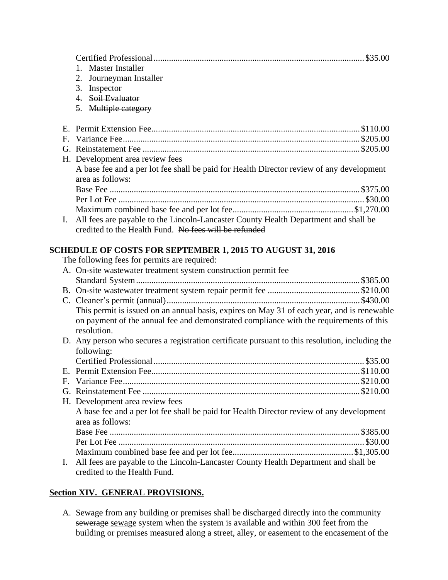|    | 1. Master Installer                                                                             |  |  |
|----|-------------------------------------------------------------------------------------------------|--|--|
|    | 2. Journeyman Installer                                                                         |  |  |
|    | 3. Inspector                                                                                    |  |  |
|    | 4. Soil Evaluator                                                                               |  |  |
|    | 5. Multiple category                                                                            |  |  |
|    |                                                                                                 |  |  |
|    |                                                                                                 |  |  |
| F. |                                                                                                 |  |  |
|    |                                                                                                 |  |  |
|    | H. Development area review fees                                                                 |  |  |
|    | A base fee and a per lot fee shall be paid for Health Director review of any development        |  |  |
|    | area as follows:                                                                                |  |  |
|    |                                                                                                 |  |  |
|    |                                                                                                 |  |  |
|    |                                                                                                 |  |  |
| Ι. | All fees are payable to the Lincoln-Lancaster County Health Department and shall be             |  |  |
|    | credited to the Health Fund. No fees will be refunded                                           |  |  |
|    |                                                                                                 |  |  |
|    | <b>SCHEDULE OF COSTS FOR SEPTEMBER 1, 2015 TO AUGUST 31, 2016</b>                               |  |  |
|    | The following fees for permits are required:                                                    |  |  |
|    | A. On-site wastewater treatment system construction permit fee                                  |  |  |
|    |                                                                                                 |  |  |
|    |                                                                                                 |  |  |
|    |                                                                                                 |  |  |
|    | This permit is issued on an annual basis, expires on May 31 of each year, and is renewable      |  |  |
|    | on payment of the annual fee and demonstrated compliance with the requirements of this          |  |  |
|    | resolution.                                                                                     |  |  |
|    | D. Any person who secures a registration certificate pursuant to this resolution, including the |  |  |
|    | following:                                                                                      |  |  |
|    |                                                                                                 |  |  |
|    |                                                                                                 |  |  |
|    |                                                                                                 |  |  |
|    |                                                                                                 |  |  |
|    | H. Development area review fees                                                                 |  |  |
|    | A base fee and a per lot fee shall be paid for Health Director review of any development        |  |  |
|    | area as follows:                                                                                |  |  |
|    |                                                                                                 |  |  |
|    |                                                                                                 |  |  |
|    |                                                                                                 |  |  |
| Ι. | All fees are payable to the Lincoln-Lancaster County Health Department and shall be             |  |  |
|    | credited to the Health Fund.                                                                    |  |  |

# **Section XIV. GENERAL PROVISIONS.**

 A. Sewage from any building or premises shall be discharged directly into the community sewerage sewage system when the system is available and within 300 feet from the building or premises measured along a street, alley, or easement to the encasement of the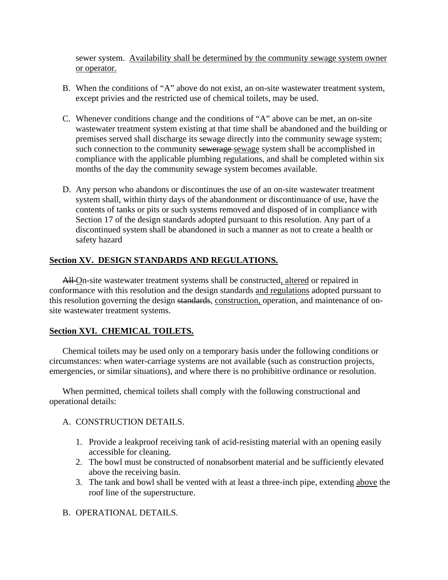sewer system. Availability shall be determined by the community sewage system owner or operator.

- B. When the conditions of "A" above do not exist, an on-site wastewater treatment system, except privies and the restricted use of chemical toilets, may be used.
- C. Whenever conditions change and the conditions of "A" above can be met, an on-site wastewater treatment system existing at that time shall be abandoned and the building or premises served shall discharge its sewage directly into the community sewage system; such connection to the community sewerage sewage system shall be accomplished in compliance with the applicable plumbing regulations, and shall be completed within six months of the day the community sewage system becomes available.
- D. Any person who abandons or discontinues the use of an on-site wastewater treatment system shall, within thirty days of the abandonment or discontinuance of use, have the contents of tanks or pits or such systems removed and disposed of in compliance with Section 17 of the design standards adopted pursuant to this resolution. Any part of a discontinued system shall be abandoned in such a manner as not to create a health or safety hazard

### **Section XV. DESIGN STANDARDS AND REGULATIONS.**

All-On-site wastewater treatment systems shall be constructed, altered or repaired in conformance with this resolution and the design standards and regulations adopted pursuant to this resolution governing the design standards, construction, operation, and maintenance of onsite wastewater treatment systems.

### **Section XVI. CHEMICAL TOILETS.**

 Chemical toilets may be used only on a temporary basis under the following conditions or circumstances: when water-carriage systems are not available (such as construction projects, emergencies, or similar situations), and where there is no prohibitive ordinance or resolution.

 When permitted, chemical toilets shall comply with the following constructional and operational details:

### A. CONSTRUCTION DETAILS.

- 1. Provide a leakproof receiving tank of acid-resisting material with an opening easily accessible for cleaning.
- 2. The bowl must be constructed of nonabsorbent material and be sufficiently elevated above the receiving basin.
- 3. The tank and bowl shall be vented with at least a three-inch pipe, extending above the roof line of the superstructure.
- B. OPERATIONAL DETAILS.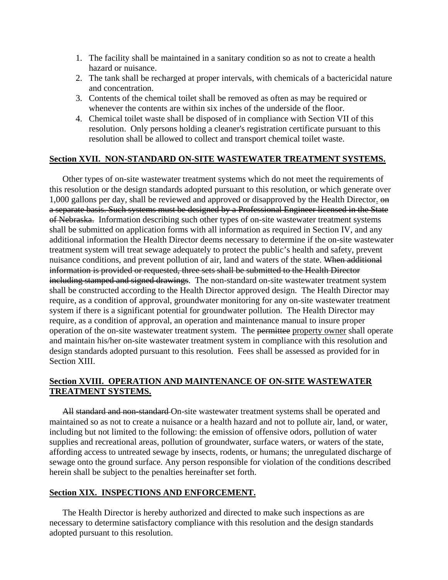- 1. The facility shall be maintained in a sanitary condition so as not to create a health hazard or nuisance.
- 2. The tank shall be recharged at proper intervals, with chemicals of a bactericidal nature and concentration.
- 3. Contents of the chemical toilet shall be removed as often as may be required or whenever the contents are within six inches of the underside of the floor.
- 4. Chemical toilet waste shall be disposed of in compliance with Section VII of this resolution. Only persons holding a cleaner's registration certificate pursuant to this resolution shall be allowed to collect and transport chemical toilet waste.

### **Section XVII. NON-STANDARD ON-SITE WASTEWATER TREATMENT SYSTEMS.**

 Other types of on-site wastewater treatment systems which do not meet the requirements of this resolution or the design standards adopted pursuant to this resolution, or which generate over 1,000 gallons per day, shall be reviewed and approved or disapproved by the Health Director. on a separate basis. Such systems must be designed by a Professional Engineer licensed in the State of Nebraska. Information describing such other types of on-site wastewater treatment systems shall be submitted on application forms with all information as required in Section IV, and any additional information the Health Director deems necessary to determine if the on-site wastewater treatment system will treat sewage adequately to protect the public's health and safety, prevent nuisance conditions, and prevent pollution of air, land and waters of the state. When additional information is provided or requested, three sets shall be submitted to the Health Director including stamped and signed drawings. The non-standard on-site wastewater treatment system shall be constructed according to the Health Director approved design. The Health Director may require, as a condition of approval, groundwater monitoring for any on-site wastewater treatment system if there is a significant potential for groundwater pollution. The Health Director may require, as a condition of approval, an operation and maintenance manual to insure proper operation of the on-site wastewater treatment system. The permittee property owner shall operate and maintain his/her on-site wastewater treatment system in compliance with this resolution and design standards adopted pursuant to this resolution. Fees shall be assessed as provided for in Section XIII.

### **Section XVIII. OPERATION AND MAINTENANCE OF ON-SITE WASTEWATER TREATMENT SYSTEMS.**

All standard and non-standard On-site wastewater treatment systems shall be operated and maintained so as not to create a nuisance or a health hazard and not to pollute air, land, or water, including but not limited to the following: the emission of offensive odors, pollution of water supplies and recreational areas, pollution of groundwater, surface waters, or waters of the state, affording access to untreated sewage by insects, rodents, or humans; the unregulated discharge of sewage onto the ground surface. Any person responsible for violation of the conditions described herein shall be subject to the penalties hereinafter set forth.

#### **Section XIX. INSPECTIONS AND ENFORCEMENT.**

 The Health Director is hereby authorized and directed to make such inspections as are necessary to determine satisfactory compliance with this resolution and the design standards adopted pursuant to this resolution.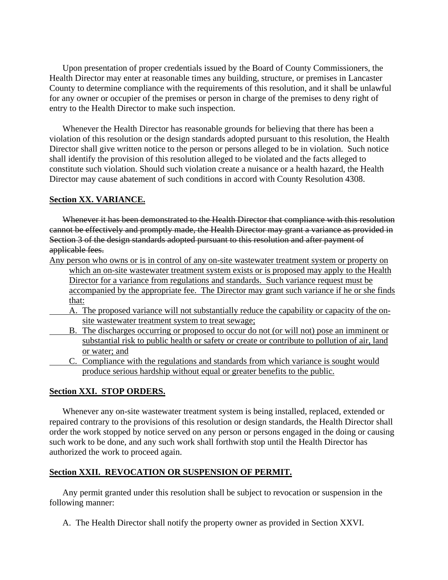Upon presentation of proper credentials issued by the Board of County Commissioners, the Health Director may enter at reasonable times any building, structure, or premises in Lancaster County to determine compliance with the requirements of this resolution, and it shall be unlawful for any owner or occupier of the premises or person in charge of the premises to deny right of entry to the Health Director to make such inspection.

 Whenever the Health Director has reasonable grounds for believing that there has been a violation of this resolution or the design standards adopted pursuant to this resolution, the Health Director shall give written notice to the person or persons alleged to be in violation. Such notice shall identify the provision of this resolution alleged to be violated and the facts alleged to constitute such violation. Should such violation create a nuisance or a health hazard, the Health Director may cause abatement of such conditions in accord with County Resolution 4308.

#### **Section XX. VARIANCE.**

 Whenever it has been demonstrated to the Health Director that compliance with this resolution cannot be effectively and promptly made, the Health Director may grant a variance as provided in Section 3 of the design standards adopted pursuant to this resolution and after payment of applicable fees.

- Any person who owns or is in control of any on-site wastewater treatment system or property on which an on-site wastewater treatment system exists or is proposed may apply to the Health Director for a variance from regulations and standards. Such variance request must be accompanied by the appropriate fee. The Director may grant such variance if he or she finds that:
	- A. The proposed variance will not substantially reduce the capability or capacity of the onsite wastewater treatment system to treat sewage;
	- B. The discharges occurring or proposed to occur do not (or will not) pose an imminent or substantial risk to public health or safety or create or contribute to pollution of air, land or water; and
	- C. Compliance with the regulations and standards from which variance is sought would produce serious hardship without equal or greater benefits to the public.

#### **Section XXI. STOP ORDERS.**

 Whenever any on-site wastewater treatment system is being installed, replaced, extended or repaired contrary to the provisions of this resolution or design standards, the Health Director shall order the work stopped by notice served on any person or persons engaged in the doing or causing such work to be done, and any such work shall forthwith stop until the Health Director has authorized the work to proceed again.

#### **Section XXII. REVOCATION OR SUSPENSION OF PERMIT.**

 Any permit granted under this resolution shall be subject to revocation or suspension in the following manner:

A. The Health Director shall notify the property owner as provided in Section XXVI.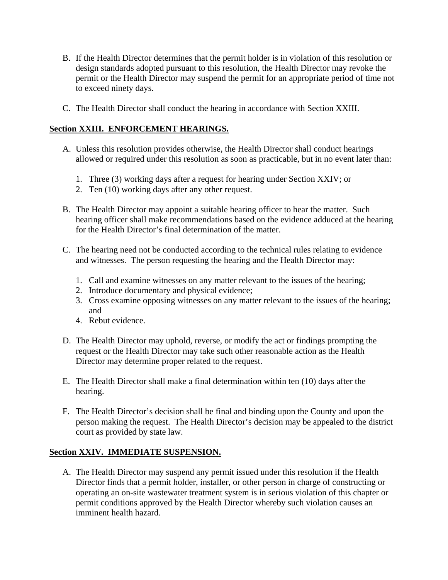- B. If the Health Director determines that the permit holder is in violation of this resolution or design standards adopted pursuant to this resolution, the Health Director may revoke the permit or the Health Director may suspend the permit for an appropriate period of time not to exceed ninety days.
- C. The Health Director shall conduct the hearing in accordance with Section XXIII.

### **Section XXIII. ENFORCEMENT HEARINGS.**

- A. Unless this resolution provides otherwise, the Health Director shall conduct hearings allowed or required under this resolution as soon as practicable, but in no event later than:
	- 1. Three (3) working days after a request for hearing under Section XXIV; or
	- 2. Ten (10) working days after any other request.
- B. The Health Director may appoint a suitable hearing officer to hear the matter. Such hearing officer shall make recommendations based on the evidence adduced at the hearing for the Health Director's final determination of the matter.
- C. The hearing need not be conducted according to the technical rules relating to evidence and witnesses. The person requesting the hearing and the Health Director may:
	- 1. Call and examine witnesses on any matter relevant to the issues of the hearing;
	- 2. Introduce documentary and physical evidence;
	- 3. Cross examine opposing witnesses on any matter relevant to the issues of the hearing; and
	- 4. Rebut evidence.
- D. The Health Director may uphold, reverse, or modify the act or findings prompting the request or the Health Director may take such other reasonable action as the Health Director may determine proper related to the request.
- E. The Health Director shall make a final determination within ten (10) days after the hearing.
- F. The Health Director's decision shall be final and binding upon the County and upon the person making the request. The Health Director's decision may be appealed to the district court as provided by state law.

### **Section XXIV. IMMEDIATE SUSPENSION.**

 A. The Health Director may suspend any permit issued under this resolution if the Health Director finds that a permit holder, installer, or other person in charge of constructing or operating an on-site wastewater treatment system is in serious violation of this chapter or permit conditions approved by the Health Director whereby such violation causes an imminent health hazard.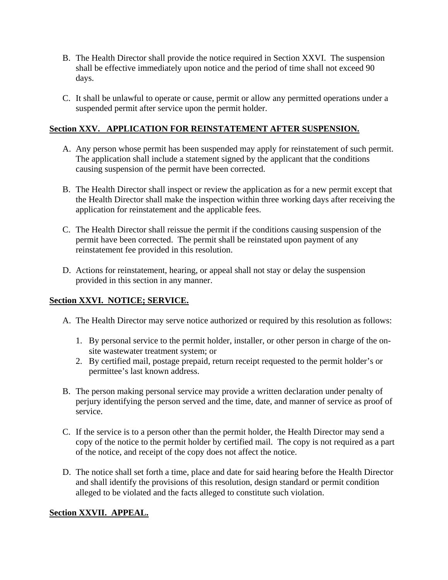- B. The Health Director shall provide the notice required in Section XXVI. The suspension shall be effective immediately upon notice and the period of time shall not exceed 90 days.
- C. It shall be unlawful to operate or cause, permit or allow any permitted operations under a suspended permit after service upon the permit holder.

### **Section XXV. APPLICATION FOR REINSTATEMENT AFTER SUSPENSION.**

- A. Any person whose permit has been suspended may apply for reinstatement of such permit. The application shall include a statement signed by the applicant that the conditions causing suspension of the permit have been corrected.
- B. The Health Director shall inspect or review the application as for a new permit except that the Health Director shall make the inspection within three working days after receiving the application for reinstatement and the applicable fees.
- C. The Health Director shall reissue the permit if the conditions causing suspension of the permit have been corrected. The permit shall be reinstated upon payment of any reinstatement fee provided in this resolution.
- D. Actions for reinstatement, hearing, or appeal shall not stay or delay the suspension provided in this section in any manner.

### **Section XXVI. NOTICE; SERVICE.**

- A. The Health Director may serve notice authorized or required by this resolution as follows:
	- 1. By personal service to the permit holder, installer, or other person in charge of the onsite wastewater treatment system; or
	- 2. By certified mail, postage prepaid, return receipt requested to the permit holder's or permittee's last known address.
- B. The person making personal service may provide a written declaration under penalty of perjury identifying the person served and the time, date, and manner of service as proof of service.
- C. If the service is to a person other than the permit holder, the Health Director may send a copy of the notice to the permit holder by certified mail. The copy is not required as a part of the notice, and receipt of the copy does not affect the notice.
- D. The notice shall set forth a time, place and date for said hearing before the Health Director and shall identify the provisions of this resolution, design standard or permit condition alleged to be violated and the facts alleged to constitute such violation.

### **Section XXVII. APPEAL.**